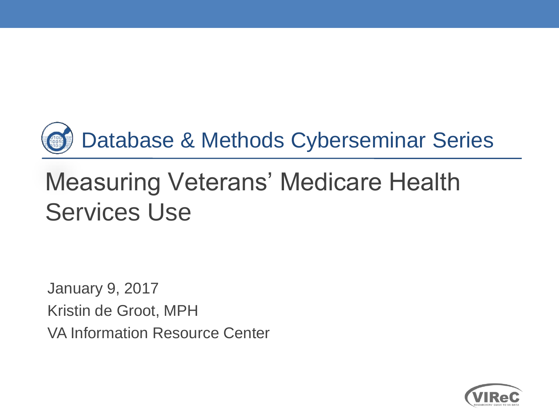

# Measuring Veterans' Medicare Health Services Use

 Kristin de Groot, MPH January 9, 2017 VA Information Resource Center

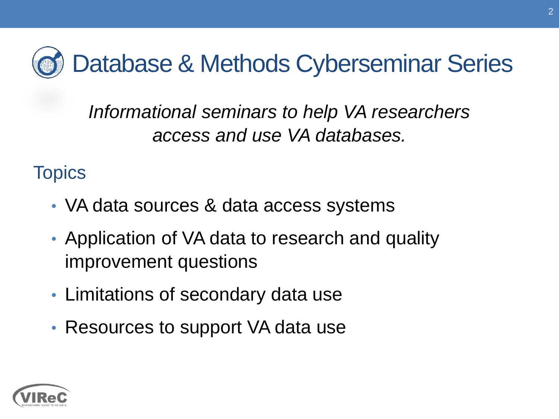Database & Methods Cyberseminar Series

 *access and use VA databases. Informational seminars to help VA researchers* 

**Topics** 

- VA data sources & data access systems
- Application of VA data to research and quality improvement questions
- Limitations of secondary data use
- Resources to support VA data use

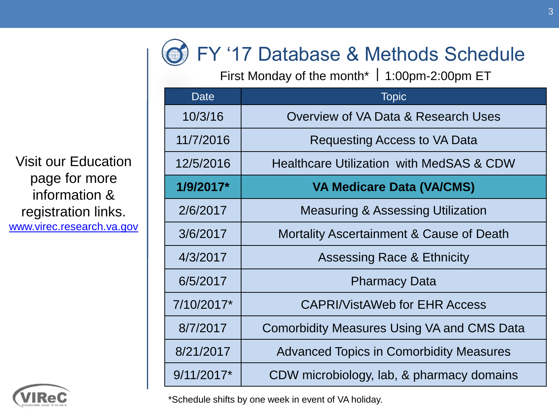

First Monday of the month\*  $\mid$  1:00pm-2:00pm ET

| Date         | <b>Topic</b>                                      |
|--------------|---------------------------------------------------|
| 10/3/16      | Overview of VA Data & Research Uses               |
| 11/7/2016    | Requesting Access to VA Data                      |
| 12/5/2016    | Healthcare Utilization with MedSAS & CDW          |
| 1/9/2017*    | <b>VA Medicare Data (VA/CMS)</b>                  |
| 2/6/2017     | <b>Measuring &amp; Assessing Utilization</b>      |
| 3/6/2017     | Mortality Ascertainment & Cause of Death          |
| 4/3/2017     | <b>Assessing Race &amp; Ethnicity</b>             |
| 6/5/2017     | <b>Pharmacy Data</b>                              |
| 7/10/2017*   | <b>CAPRI/VistAWeb for EHR Access</b>              |
| 8/7/2017     | <b>Comorbidity Measures Using VA and CMS Data</b> |
| 8/21/2017    | <b>Advanced Topics in Comorbidity Measures</b>    |
| $9/11/2017*$ | CDW microbiology, lab, & pharmacy domains         |

 page for more Visit our Education information & registration links. [www.virec.research.va.gov](http://www.virec.research.va.gov/)



\*Schedule shifts by one week in event of VA holiday.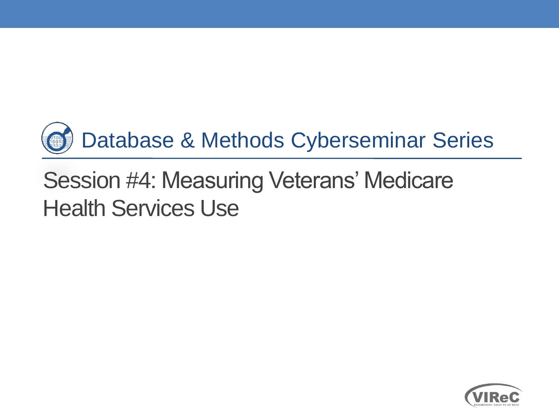

# Session #4: Measuring Veterans' Medicare Health Services Use

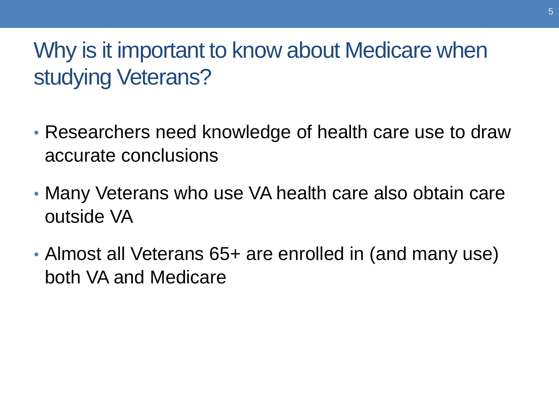### Why is it important to know about Medicare when studying Veterans?

- Researchers need knowledge of health care use to draw accurate conclusions
- Many Veterans who use VA health care also obtain care outside VA
- Almost all Veterans 65+ are enrolled in (and many use) both VA and Medicare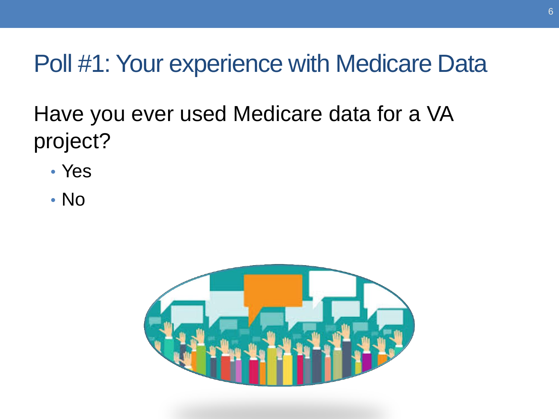Poll #1: Your experience with Medicare Data

Have you ever used Medicare data for a VA project?

- Yes
- No

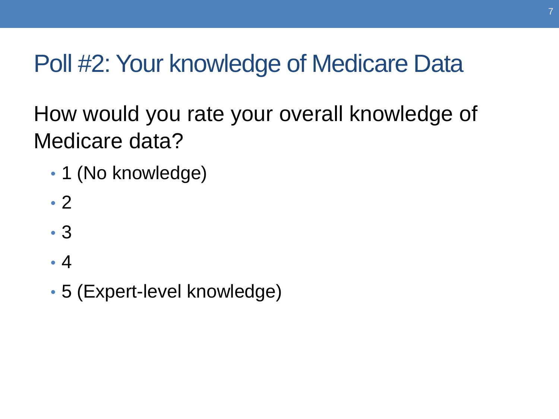# Poll #2: Your knowledge of Medicare Data

How would you rate your overall knowledge of Medicare data?

- 1 (No knowledge)
- 2
- 3
- 4
- 5 (Expert-level knowledge)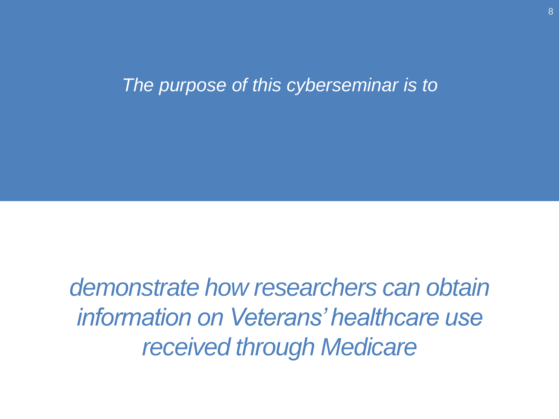#### *The purpose of this cyberseminar is to*

 *demonstrate how researchers can obtain information on Veterans' healthcare use received through Medicare*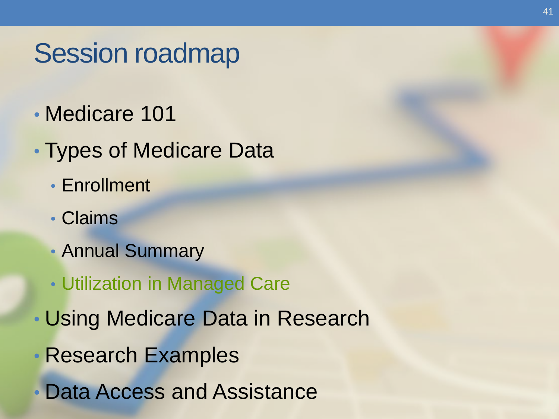# Session roadmap

- Medicare 101
- Types of Medicare Data
	- Enrollment
	- Claims
	- Annual Summary
	- Utilization in Managed Care
- Using Medicare Data in Research
- Research Examples
- Data Access and Assistance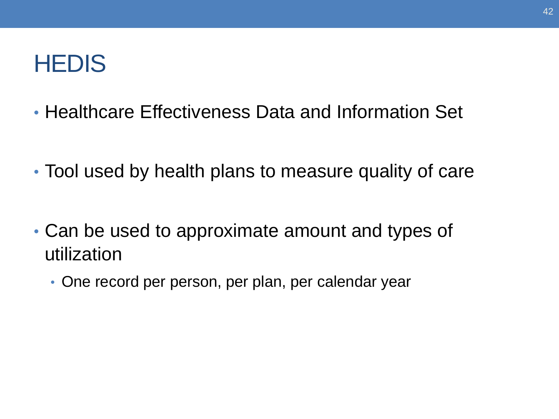## **HEDIS**

- Healthcare Effectiveness Data and Information Set
- Tool used by health plans to measure quality of care
- Can be used to approximate amount and types of utilization
	- One record per person, per plan, per calendar year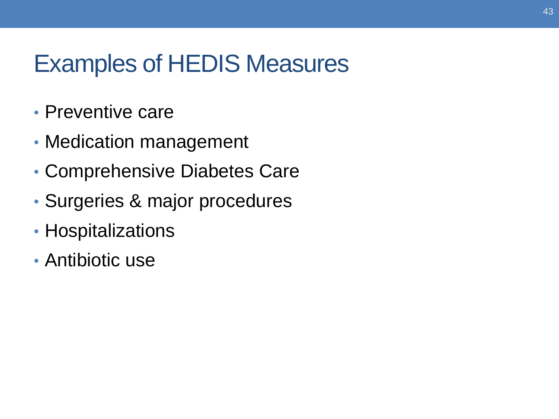## Examples of HEDIS Measures

- Preventive care
- Medication management
- Comprehensive Diabetes Care
- Surgeries & major procedures
- Hospitalizations
- Antibiotic use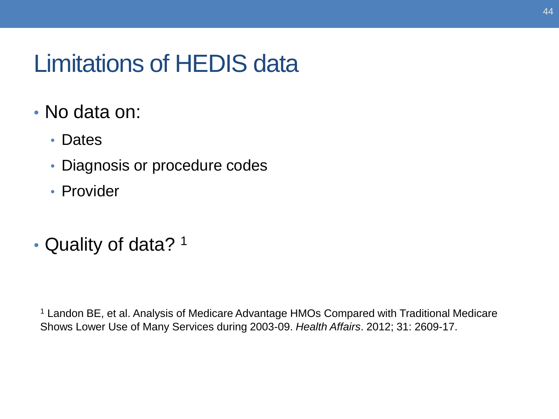## Limitations of HEDIS data

- No data on:
	- Dates
	- Diagnosis or procedure codes
	- Provider
- Quality of data? 1

<sup>1</sup> Landon BE, et al. Analysis of Medicare Advantage HMOs Compared with Traditional Medicare Shows Lower Use of Many Services during 2003-09. *Health Affairs*. 2012; 31: 2609-17.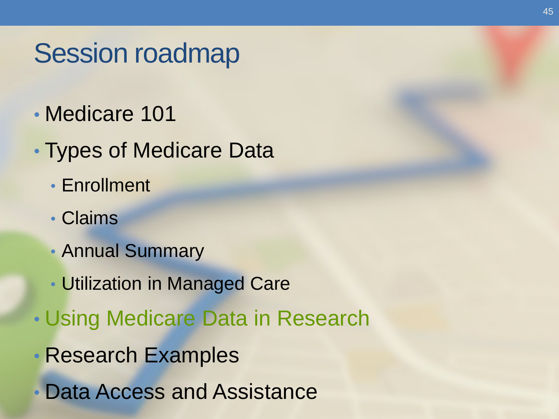# Session roadmap

- Medicare 101
- Types of Medicare Data
	- Enrollment
	- Claims
	- Annual Summary
	- Utilization in Managed Care
- Using Medicare Data in Research
- Research Examples
- Data Access and Assistance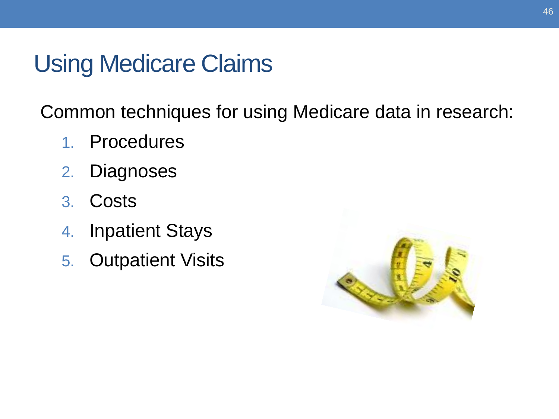## Using Medicare Claims

Common techniques for using Medicare data in research:

- 1. Procedures
- 2. Diagnoses
- 3. Costs
- 4. Inpatient Stays
- 5. Outpatient Visits

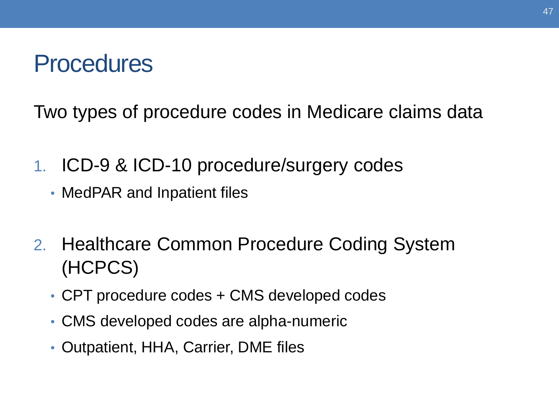## **Procedures**

Two types of procedure codes in Medicare claims data

- 1. ICD-9 & ICD-10 procedure/surgery codes
	- MedPAR and Inpatient files
- 2. Healthcare Common Procedure Coding System (HCPCS)
	- CPT procedure codes + CMS developed codes
	- CMS developed codes are alpha-numeric
	- Outpatient, HHA, Carrier, DME files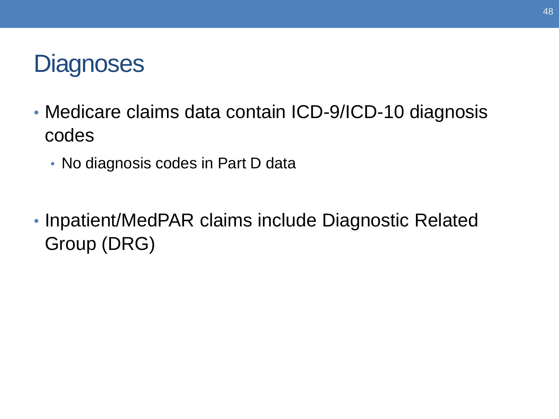## **Diagnoses**

- • Medicare claims data contain ICD-9/ICD-10 diagnosis codes
	- No diagnosis codes in Part D data
- Inpatient/MedPAR claims include Diagnostic Related Group (DRG)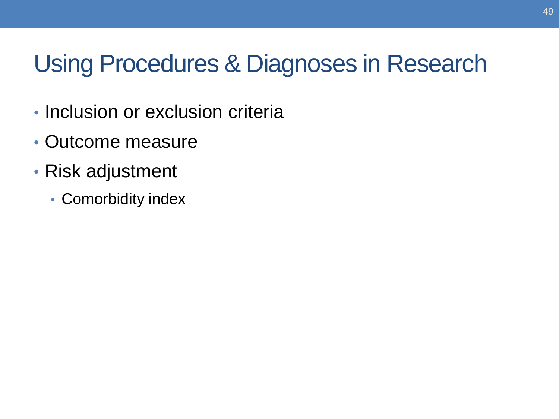## Using Procedures & Diagnoses in Research

- Inclusion or exclusion criteria
- Outcome measure
- Risk adjustment
	- Comorbidity index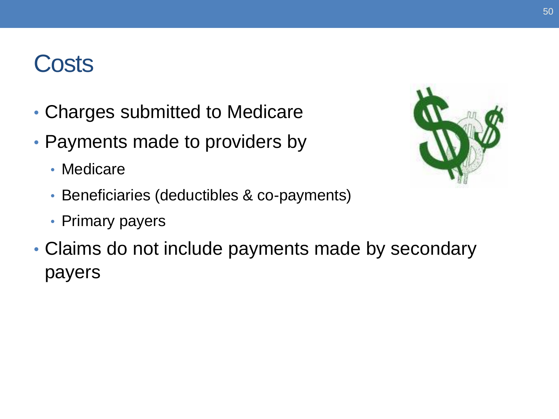## **Costs**

- Charges submitted to Medicare
- Payments made to providers by
	- Medicare
	- Beneficiaries (deductibles & co-payments)
	- Primary payers
- Claims do not include payments made by secondary payers

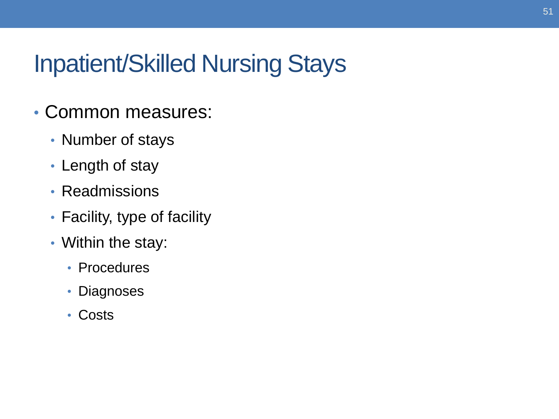## Inpatient/Skilled Nursing Stays

- Common measures:
	- Number of stays
	- Length of stay
	- Readmissions
	- Facility, type of facility
	- Within the stay:
		- Procedures
		- Diagnoses
		- Costs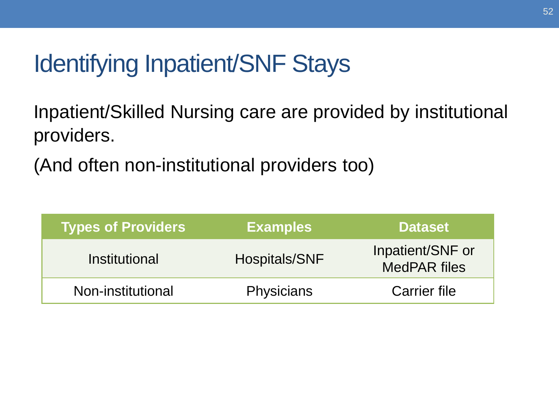## Identifying Inpatient/SNF Stays

Inpatient/Skilled Nursing care are provided by institutional providers.

(And often non-institutional providers too)

| <b>Types of Providers</b> | <b>Examples</b>   | <b>Dataset</b>                          |
|---------------------------|-------------------|-----------------------------------------|
| Institutional             | Hospitals/SNF     | Inpatient/SNF or<br><b>MedPAR files</b> |
| Non-institutional         | <b>Physicians</b> | <b>Carrier file</b>                     |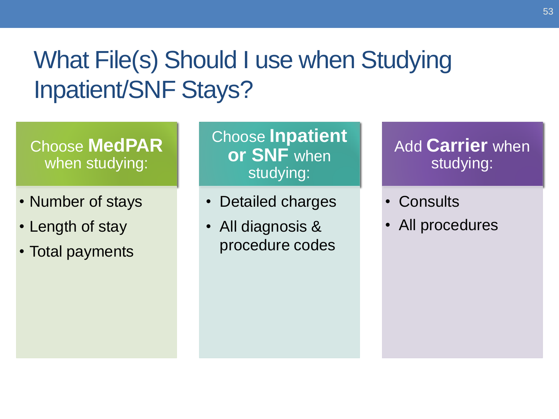## What File(s) Should I use when Studying Inpatient/SNF Stays?

#### Choose **MedPAR**  when studying:

- Number of stays
- Length of stay
- Total payments

Choose **Inpatient or SNF** when studying:

- Detailed charges
- All diagnosis & procedure codes

#### Add **Carrier** when studying:

- Consults
- All procedures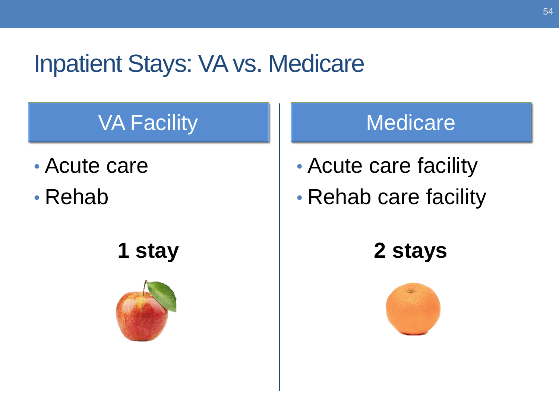## Inpatient Stays: VA vs. Medicare

## VA Facility Medicare

- 
- 



- Acute care 1 Acute care facility
- Rehab Rehab care facility

**1 stay 2 stays** 

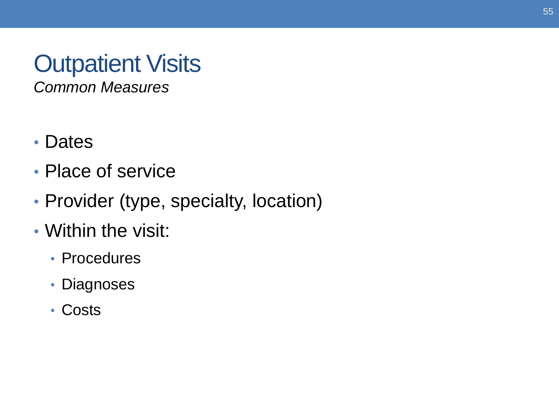# **Outpatient Visits**

*Common Measures* 

- Dates
- Place of service
- Provider (type, specialty, location)
- Within the visit:
	- Procedures
	- Diagnoses
	- Costs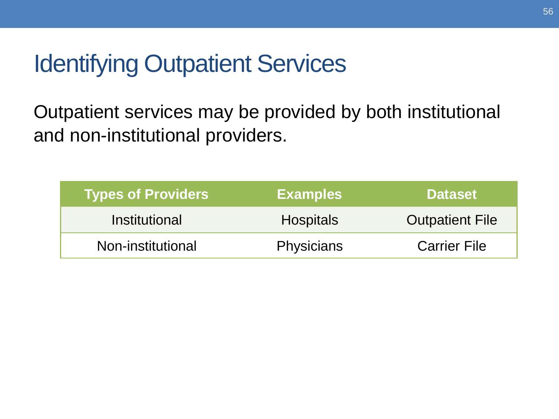## Identifying Outpatient Services

 and non-institutional providers. Outpatient services may be provided by both institutional

| <b>Types of Providers</b> | <b>Examples</b>   | <b>Dataset</b>         |
|---------------------------|-------------------|------------------------|
| Institutional             | <b>Hospitals</b>  | <b>Outpatient File</b> |
| Non-institutional         | <b>Physicians</b> | <b>Carrier File</b>    |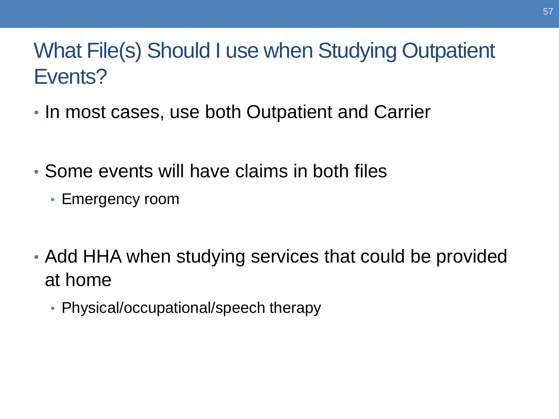## What File(s) Should I use when Studying Outpatient Events?

- In most cases, use both Outpatient and Carrier
- • Some events will have claims in both files
	- Emergency room
- Add HHA when studying services that could be provided at home
	- Physical/occupational/speech therapy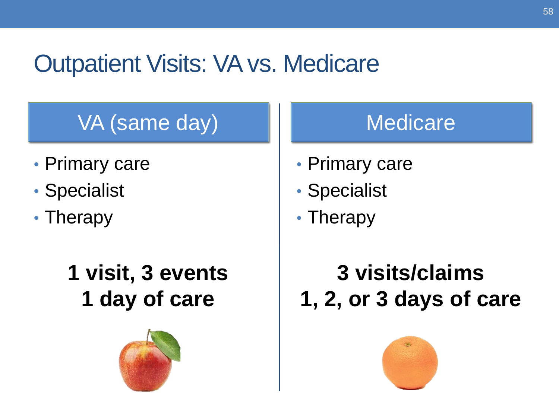## Outpatient Visits: VA vs. Medicare

## VA (same day) Medicare

- Primary care  **Primary care**
- Specialist Specialist
- Therapy  **Therapy** 
	- **1 day of care**



- 
- 
- 

## **1 visit, 3 events 3 visits/claims 1, 2, or 3 days of care**

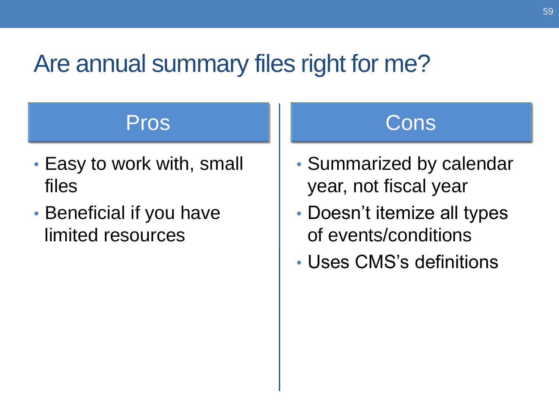## Are annual summary files right for me?

- files **year, not fiscal year**
- limited resources and the of events/conditions

### Pros III Cons

- Easy to work with, small  $\|\cdot\|$  Summarized by calendar
- Beneficial if you have **•** Doesn't itemize all types
	- Uses CMS's definitions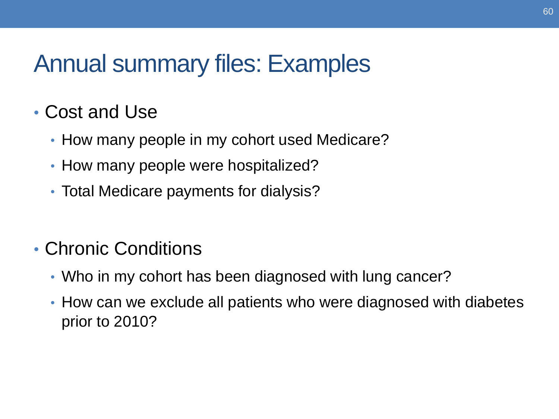## Annual summary files: Examples

### • Cost and Use

- How many people in my cohort used Medicare?
- How many people were hospitalized?
- Total Medicare payments for dialysis?

### • Chronic Conditions

- Who in my cohort has been diagnosed with lung cancer?
- How can we exclude all patients who were diagnosed with diabetes prior to 2010?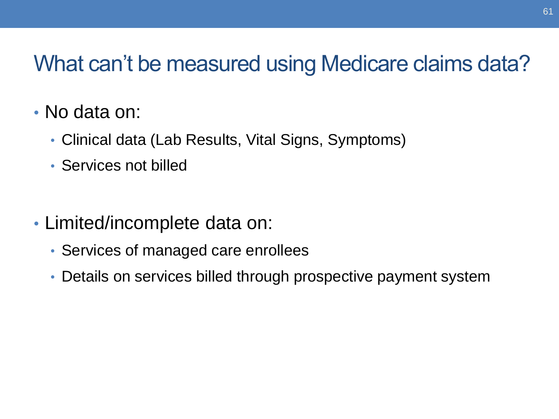## What can't be measured using Medicare claims data?

- No data on:
	- Clinical data (Lab Results, Vital Signs, Symptoms)
	- Services not billed
- Limited/incomplete data on:
	- Services of managed care enrollees
	- Details on services billed through prospective payment system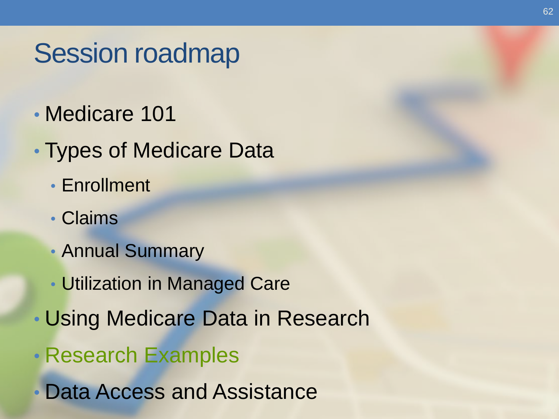# Session roadmap

- Medicare 101
- Types of Medicare Data
	- Enrollment
	- Claims
	- Annual Summary
	- Utilization in Managed Care
- Using Medicare Data in Research
- Research Examples
- Data Access and Assistance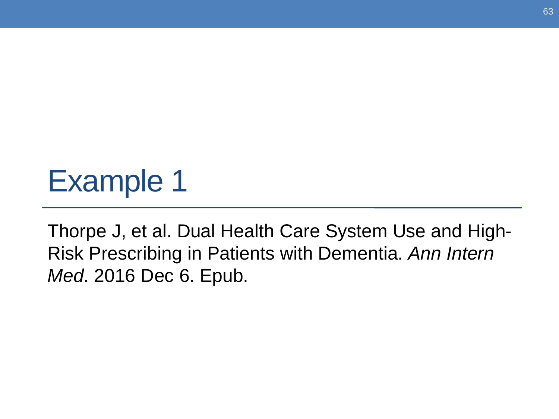# Example 1

Thorpe J, et al. Dual Health Care System Use and High-Risk Prescribing in Patients with Dementia. *Ann Intern Med*. 2016 Dec 6. Epub.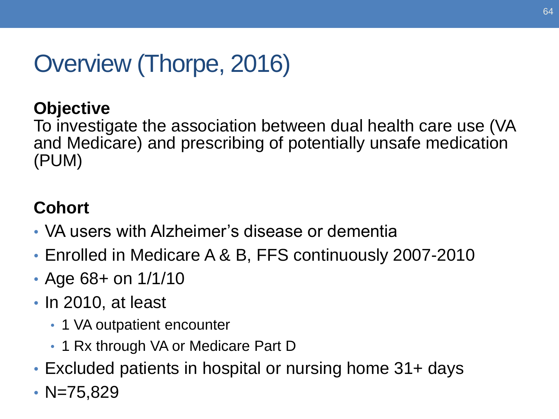## Overview (Thorpe, 2016)

#### **Objective**

 To investigate the association between dual health care use (VA and Medicare) and prescribing of potentially unsafe medication (PUM)

#### **Cohort**

- VA users with Alzheimer's disease or dementia
- Enrolled in Medicare A & B, FFS continuously 2007-2010
- Age 68+ on 1/1/10
- In 2010, at least
	- 1 VA outpatient encounter
	- 1 Rx through VA or Medicare Part D
- Excluded patients in hospital or nursing home 31+ days
- $N=75,829$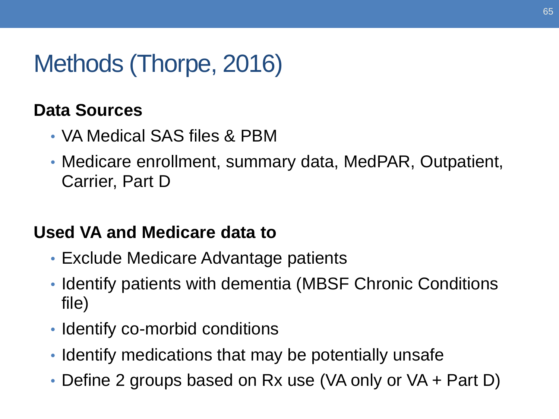## Methods (Thorpe, 2016)

#### **Data Sources**

- VA Medical SAS files & PBM
- Medicare enrollment, summary data, MedPAR, Outpatient, Carrier, Part D

#### **Used VA and Medicare data to**

- Exclude Medicare Advantage patients
- • Identify patients with dementia (MBSF Chronic Conditions file)
- Identify co-morbid conditions
- Identify medications that may be potentially unsafe
- Define 2 groups based on Rx use (VA only or VA + Part D)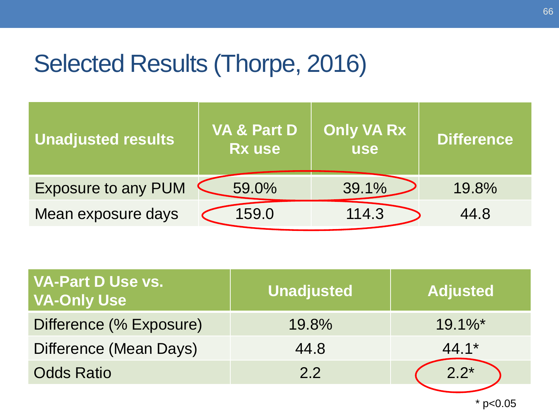## Selected Results (Thorpe, 2016)

| <b>Unadjusted results</b>  | <b>VA &amp; Part D</b><br><b>Rx use</b> | <b>Only VA Rx</b><br><b>use</b> | <b>Difference</b> |
|----------------------------|-----------------------------------------|---------------------------------|-------------------|
| <b>Exposure to any PUM</b> | 59.0%                                   | 39.1%                           | 19.8%             |
| Mean exposure days         | 159.0                                   | 114.3                           | 44.8              |

| <b>VA-Part D Use vs.</b><br><b>VA-Only Use</b> | <b>Unadjusted</b> | <b>Adjusted</b>       |
|------------------------------------------------|-------------------|-----------------------|
| Difference (% Exposure)                        | 19.8%             | $19.1\%$ <sup>*</sup> |
| Difference (Mean Days)                         | 44.8              | $44.1*$               |
| <b>Odds Ratio</b>                              | 2.2               | $2.2*$                |
|                                                |                   |                       |

\* p<0.05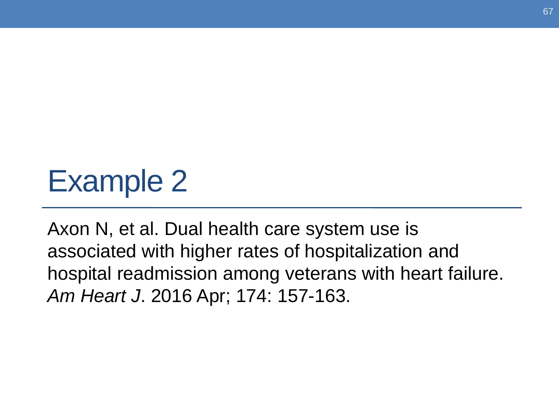# Example 2

Axon N, et al. Dual health care system use is associated with higher rates of hospitalization and hospital readmission among veterans with heart failure. *Am Heart J*. 2016 Apr; 174: 157-163.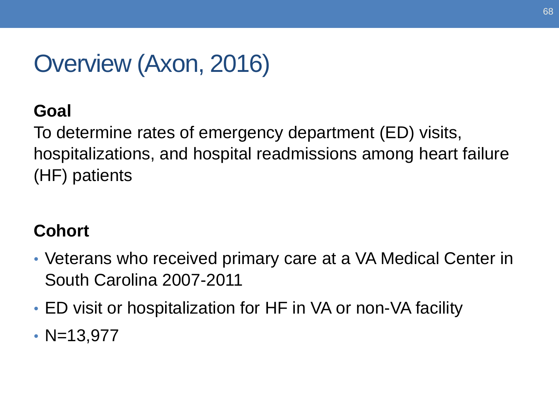## Overview (Axon, 2016)

#### **Goal**

 hospitalizations, and hospital readmissions among heart failure To determine rates of emergency department (ED) visits, (HF) patients

#### **Cohort**

- Veterans who received primary care at a VA Medical Center in South Carolina 2007-2011
- ED visit or hospitalization for HF in VA or non-VA facility
- $N=13,977$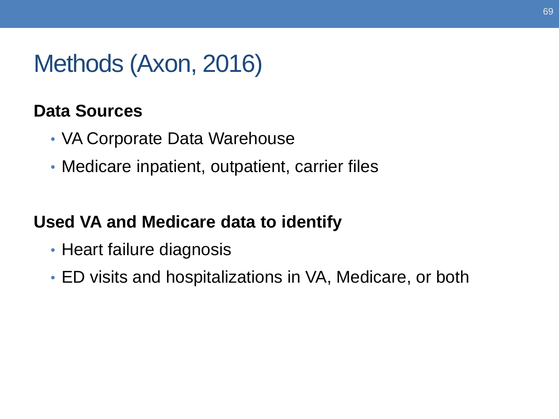## Methods (Axon, 2016)

#### **Data Sources**

- VA Corporate Data Warehouse
- Medicare inpatient, outpatient, carrier files

#### **Used VA and Medicare data to identify**

- Heart failure diagnosis
- ED visits and hospitalizations in VA, Medicare, or both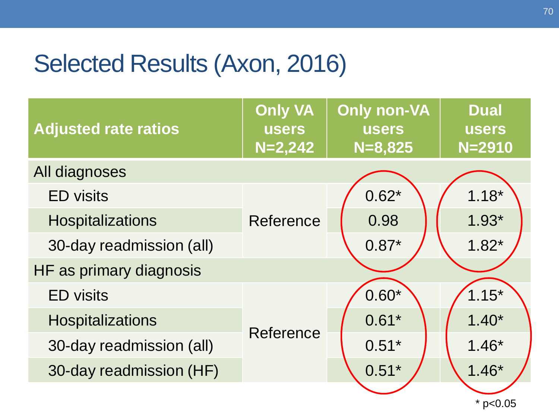## Selected Results (Axon, 2016)

| <b>Adjusted rate ratios</b> | <b>Only VA</b><br><b>users</b><br>$N=2,242$ | <b>Only non-VA</b><br><b>users</b><br>$N = 8,825$ | <b>Dual</b><br><b>users</b><br>$N = 2910$ |
|-----------------------------|---------------------------------------------|---------------------------------------------------|-------------------------------------------|
| All diagnoses               |                                             |                                                   |                                           |
| <b>ED</b> visits            |                                             | $0.62*$                                           | $1.18*$                                   |
| <b>Hospitalizations</b>     | Reference                                   | 0.98                                              | $1.93*$                                   |
| 30-day readmission (all)    |                                             | $0.87*$                                           | $1.82*$                                   |
| HF as primary diagnosis     |                                             |                                                   |                                           |
| <b>ED</b> visits            |                                             | $0.60*$                                           | $1.15*$                                   |
| <b>Hospitalizations</b>     | Reference                                   | $0.61*$                                           | $1.40*$                                   |
| 30-day readmission (all)    |                                             | $0.51*$                                           | $1.46*$                                   |
| 30-day readmission (HF)     |                                             | $0.51*$                                           | $1.46*$                                   |
|                             |                                             |                                                   | $*$ p<0.05                                |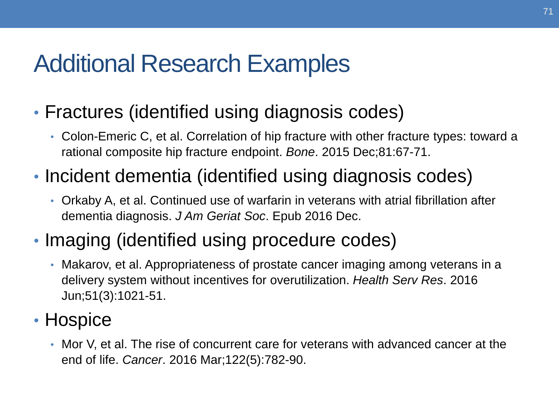## Additional Research Examples

- Fractures (identified using diagnosis codes)
	- Colon-Emeric C, et al. Correlation of hip fracture with other fracture types: toward a rational composite hip fracture endpoint. *Bone*. 2015 Dec;81:67-71.
- Incident dementia (identified using diagnosis codes)
	- dementia diagnosis. *J Am Geriat Soc*. Epub 2016 Dec. • Orkaby A, et al. Continued use of warfarin in veterans with atrial fibrillation after
- Imaging (identified using procedure codes)
	- Makarov, et al. Appropriateness of prostate cancer imaging among veterans in a delivery system without incentives for overutilization. *Health Serv Res*. 2016 Jun;51(3):1021-51.
- Hospice
	- Mor V, et al. The rise of concurrent care for veterans with advanced cancer at the end of life. *Cancer*. 2016 Mar;122(5):782-90.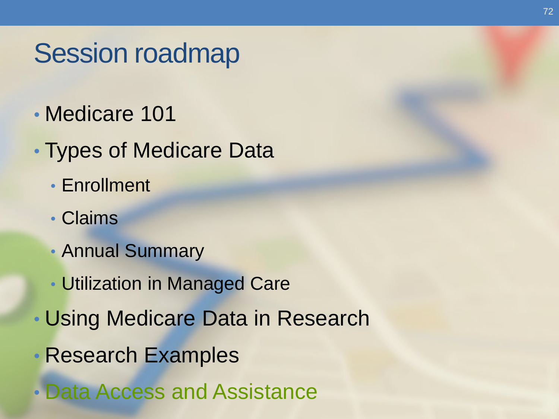# Session roadmap

- Medicare 101
- Types of Medicare Data
	- Enrollment
	- Claims
	- Annual Summary
	- Utilization in Managed Care
- Using Medicare Data in Research
- Research Examples
- Data Access and Assistance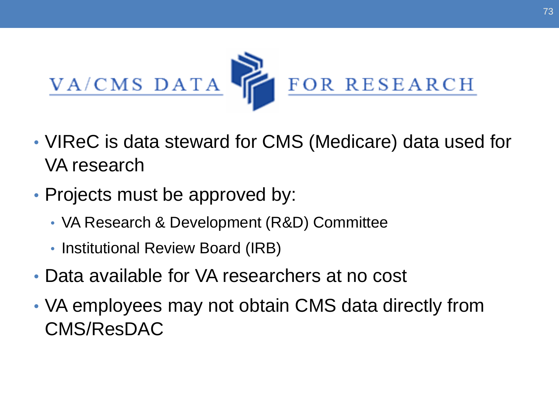

- VIReC is data steward for CMS (Medicare) data used for VA research
- • Projects must be approved by:
	- VA Research & Development (R&D) Committee
	- Institutional Review Board (IRB)
- Data available for VA researchers at no cost
- VA employees may not obtain CMS data directly from CMS/ResDAC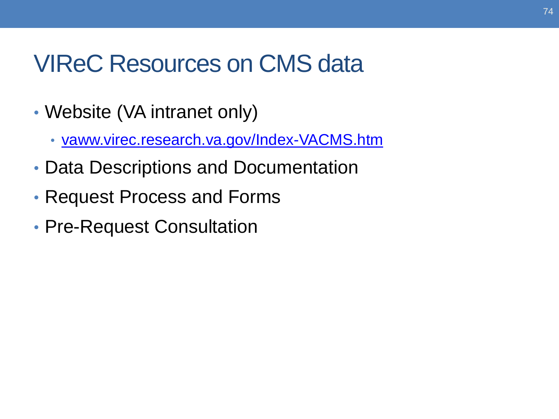#### VIReC Resources on CMS data

- Website (VA intranet only)
	- [vaww.virec.research.va.gov/Index-VACMS.htm](http://vaww.virec.research.va.gov/Index-VACMS.htm)
- Data Descriptions and Documentation
- Request Process and Forms
- Pre-Request Consultation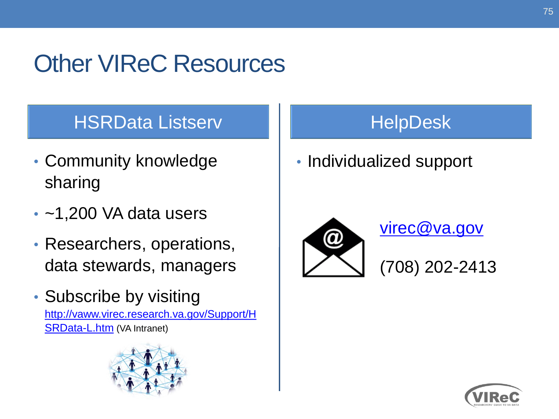# Other VIReC Resources

#### HSRData Listserv HelpDesk

- sharing • Community knowledge
- $\cdot$  ~1,200 VA data users
- Researchers, operations, data stewards, managers
- Subscribe by visiting

[http://vaww.virec.research.va.gov/Support/H](http://vaww.virec.research.va.gov/Support/HSRData-L.htm) [SRData-L.htm](http://vaww.virec.research.va.gov/Support/HSRData-L.htm) (VA Intranet)



• Individualized support



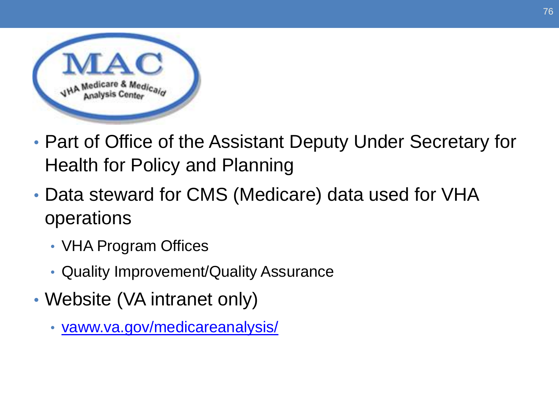

- Part of Office of the Assistant Deputy Under Secretary for Health for Policy and Planning
- • Data steward for CMS (Medicare) data used for VHA operations
	- VHA Program Offices
	- Quality Improvement/Quality Assurance
- Website (VA intranet only)
	- [vaww.va.gov/medicareanalysis/](http://vaww.va.gov/medicareanalysis/)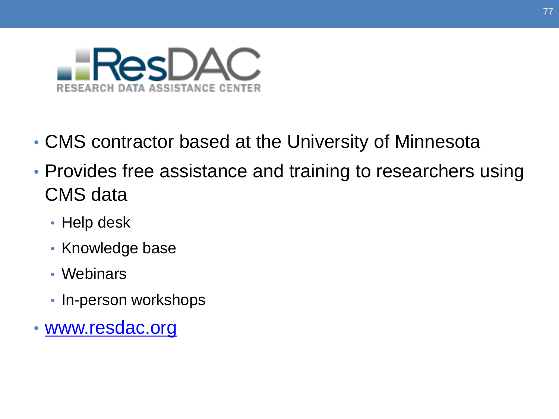

- CMS contractor based at the University of Minnesota
- • Provides free assistance and training to researchers using CMS data
	- Help desk
	- Knowledge base
	- Webinars
	- In-person workshops
- [www.resdac.org](http://www.resdac.org/)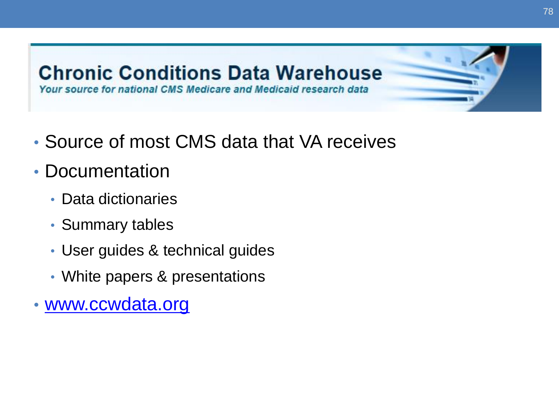

- Source of most CMS data that VA receives
- Documentation
	- Data dictionaries
	- Summary tables
	- User guides & technical guides
	- White papers & presentations
- [www.ccwdata.org](http://www.ccwdata.org/)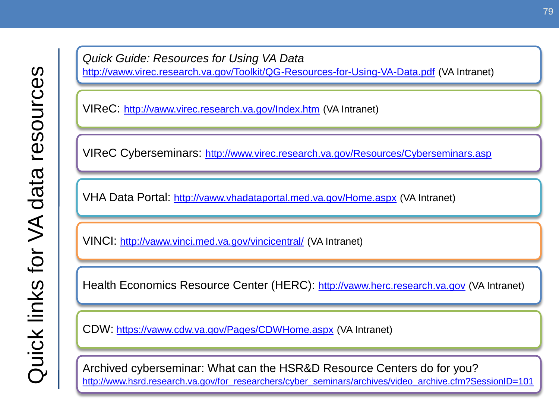*Quick Guide: Resources for Using VA Data*  <http://vaww.virec.research.va.gov/Toolkit/QG-Resources-for-Using-VA-Data.pdf> (VA Intranet)

VIReC: <http://vaww.virec.research.va.gov/Index.htm>(VA Intranet)

VIReC Cyberseminars: <http://www.virec.research.va.gov/Resources/Cyberseminars.asp>

VHA Data Portal: <http://vaww.vhadataportal.med.va.gov/Home.aspx>(VA Intranet)

VINCI: <http://vaww.vinci.med.va.gov/vincicentral/>(VA Intranet)

Health Economics Resource Center (HERC): [http://vaww.herc.research.va.gov](http://vaww.herc.research.va.gov/) (VA Intranet)

CDW:<https://vaww.cdw.va.gov/Pages/CDWHome.aspx>(VA Intranet)

 Archived cyberseminar: What can the HSR&D Resource Centers do for you? http://www.hsrd.research.va.gov/for\_researchers/cyber\_seminars/archives/video\_archive.cfm?SessionID=101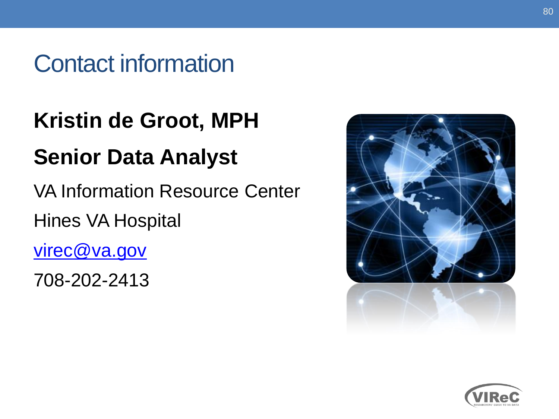#### Contact information

# **Kristin de Groot, MPH**

### **Senior Data Analyst**

VA Information Resource Center Hines VA Hospital

virec@va.gov

708-202-2413